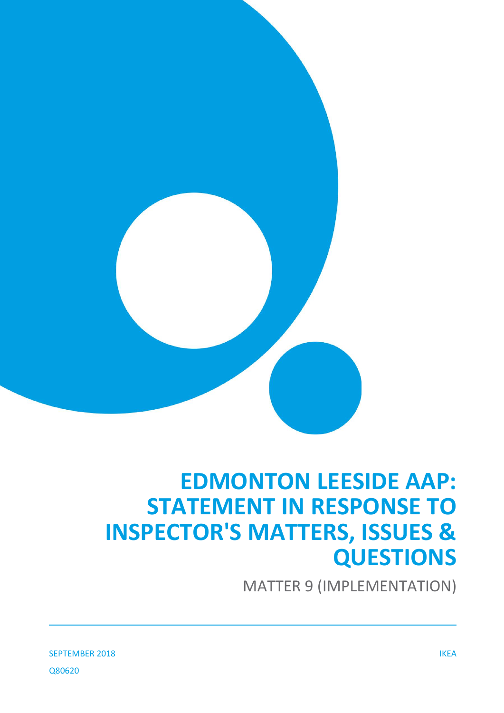

# **EDMONTON LEESIDE AAP: STATEMENT IN RESPONSE TO INSPECTOR'S MATTERS, ISSUES & QUESTIONS**

MATTER 9 (IMPLEMENTATION)

SEPTEMBER 2018 IKEA Q80620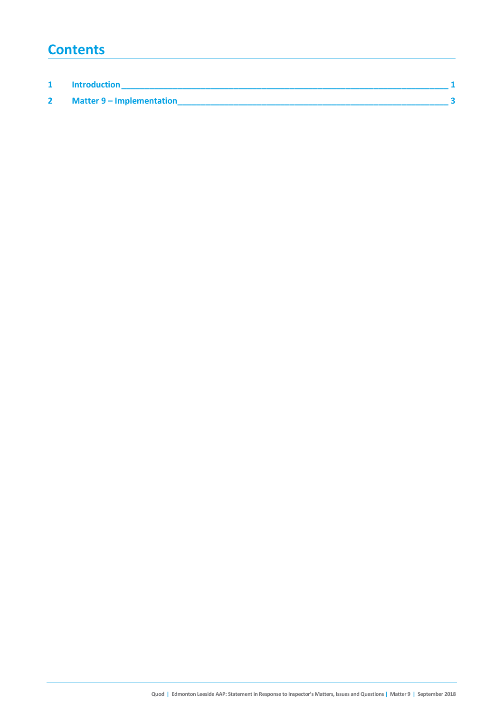### **Contents**

| <b>Introduction</b>       |  |
|---------------------------|--|
| Matter 9 - Implementation |  |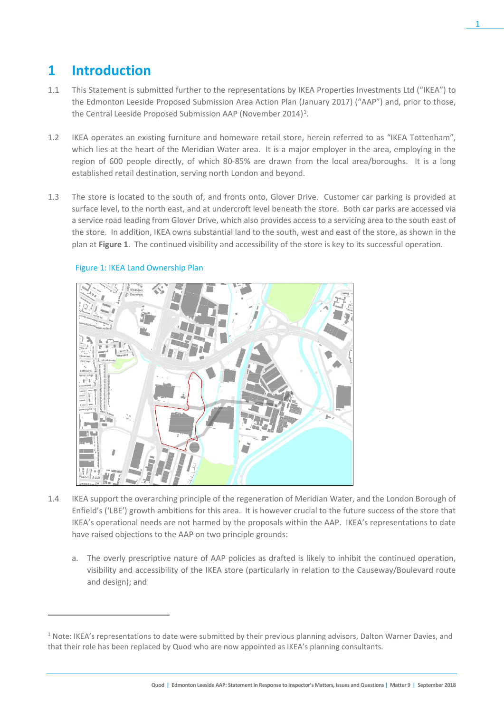## **1 Introduction**

 $\overline{a}$ 

- 1.1 This Statement is submitted further to the representations by IKEA Properties Investments Ltd ("IKEA") to the Edmonton Leeside Proposed Submission Area Action Plan (January 2017) ("AAP") and, prior to those, the Central Leeside Proposed Submission AAP (November 20[1](#page-2-0)4)<sup>1</sup>.
- 1.2 IKEA operates an existing furniture and homeware retail store, herein referred to as "IKEA Tottenham", which lies at the heart of the Meridian Water area. It is a major employer in the area, employing in the region of 600 people directly, of which 80-85% are drawn from the local area/boroughs. It is a long established retail destination, serving north London and beyond.
- 1.3 The store is located to the south of, and fronts onto, Glover Drive. Customer car parking is provided at surface level, to the north east, and at undercroft level beneath the store. Both car parks are accessed via a service road leading from Glover Drive, which also provides access to a servicing area to the south east of the store. In addition, IKEA owns substantial land to the south, west and east of the store, as shown in the plan at **Figure 1**. The continued visibility and accessibility of the store is key to its successful operation.



### Figure 1: IKEA Land Ownership Plan

- 1.4 IKEA support the overarching principle of the regeneration of Meridian Water, and the London Borough of Enfield's ('LBE') growth ambitions for this area. It is however crucial to the future success of the store that IKEA's operational needs are not harmed by the proposals within the AAP. IKEA's representations to date have raised objections to the AAP on two principle grounds:
	- a. The overly prescriptive nature of AAP policies as drafted is likely to inhibit the continued operation, visibility and accessibility of the IKEA store (particularly in relation to the Causeway/Boulevard route and design); and

<span id="page-2-0"></span> $1$  Note: IKEA's representations to date were submitted by their previous planning advisors, Dalton Warner Davies, and that their role has been replaced by Quod who are now appointed as IKEA's planning consultants.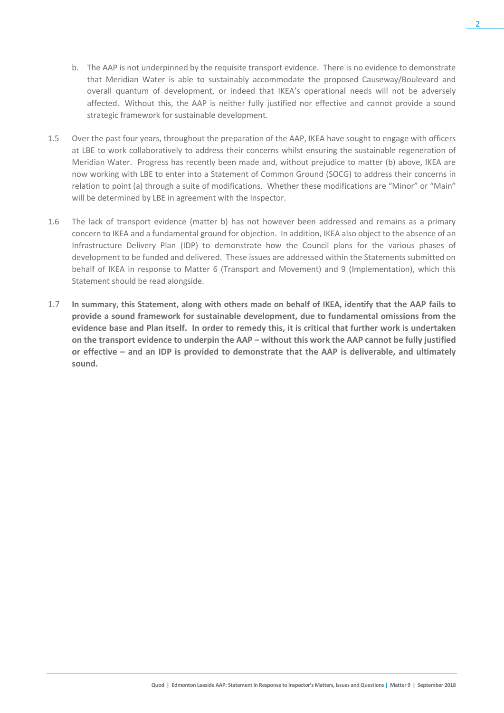- b. The AAP is not underpinned by the requisite transport evidence. There is no evidence to demonstrate that Meridian Water is able to sustainably accommodate the proposed Causeway/Boulevard and overall quantum of development, or indeed that IKEA's operational needs will not be adversely affected. Without this, the AAP is neither fully justified nor effective and cannot provide a sound strategic framework for sustainable development.
- 1.5 Over the past four years, throughout the preparation of the AAP, IKEA have sought to engage with officers at LBE to work collaboratively to address their concerns whilst ensuring the sustainable regeneration of Meridian Water. Progress has recently been made and, without prejudice to matter (b) above, IKEA are now working with LBE to enter into a Statement of Common Ground (SOCG) to address their concerns in relation to point (a) through a suite of modifications. Whether these modifications are "Minor" or "Main" will be determined by LBE in agreement with the Inspector.
- 1.6 The lack of transport evidence (matter b) has not however been addressed and remains as a primary concern to IKEA and a fundamental ground for objection. In addition, IKEA also object to the absence of an Infrastructure Delivery Plan (IDP) to demonstrate how the Council plans for the various phases of development to be funded and delivered. These issues are addressed within the Statements submitted on behalf of IKEA in response to Matter 6 (Transport and Movement) and 9 (Implementation), which this Statement should be read alongside.
- 1.7 **In summary, this Statement, along with others made on behalf of IKEA, identify that the AAP fails to provide a sound framework for sustainable development, due to fundamental omissions from the evidence base and Plan itself. In order to remedy this, it is critical that further work is undertaken on the transport evidence to underpin the AAP – without this work the AAP cannot be fully justified or effective – and an IDP is provided to demonstrate that the AAP is deliverable, and ultimately sound.**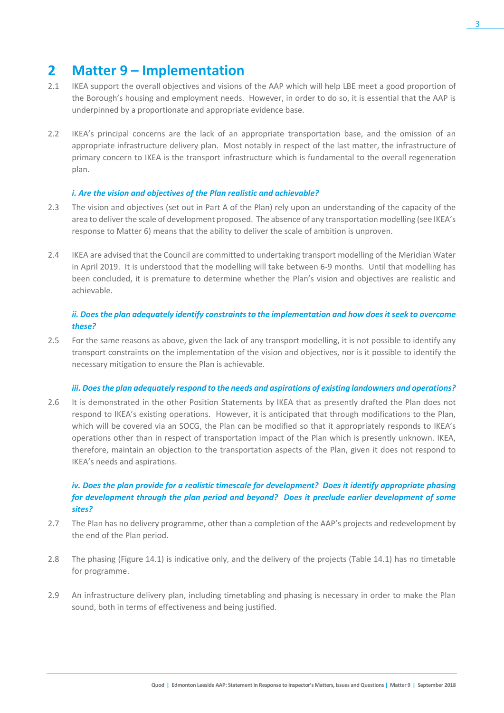### **2 Matter 9 – Implementation**

- 2.1 IKEA support the overall objectives and visions of the AAP which will help LBE meet a good proportion of the Borough's housing and employment needs. However, in order to do so, it is essential that the AAP is underpinned by a proportionate and appropriate evidence base.
- 2.2 IKEA's principal concerns are the lack of an appropriate transportation base, and the omission of an appropriate infrastructure delivery plan. Most notably in respect of the last matter, the infrastructure of primary concern to IKEA is the transport infrastructure which is fundamental to the overall regeneration plan.

### *i. Are the vision and objectives of the Plan realistic and achievable?*

- 2.3 The vision and objectives (set out in Part A of the Plan) rely upon an understanding of the capacity of the area to deliver the scale of development proposed. The absence of any transportation modelling (see IKEA's response to Matter 6) means that the ability to deliver the scale of ambition is unproven.
- 2.4 IKEA are advised that the Council are committed to undertaking transport modelling of the Meridian Water in April 2019. It is understood that the modelling will take between 6-9 months. Until that modelling has been concluded, it is premature to determine whether the Plan's vision and objectives are realistic and achievable.

#### *ii. Does the plan adequately identify constraints to the implementation and how does it seek to overcome these?*

2.5 For the same reasons as above, given the lack of any transport modelling, it is not possible to identify any transport constraints on the implementation of the vision and objectives, nor is it possible to identify the necessary mitigation to ensure the Plan is achievable.

#### *iii. Does the plan adequately respond to the needs and aspirations of existing landowners and operations?*

2.6 It is demonstrated in the other Position Statements by IKEA that as presently drafted the Plan does not respond to IKEA's existing operations. However, it is anticipated that through modifications to the Plan, which will be covered via an SOCG, the Plan can be modified so that it appropriately responds to IKEA's operations other than in respect of transportation impact of the Plan which is presently unknown. IKEA, therefore, maintain an objection to the transportation aspects of the Plan, given it does not respond to IKEA's needs and aspirations.

### *iv. Does the plan provide for a realistic timescale for development? Does it identify appropriate phasing for development through the plan period and beyond? Does it preclude earlier development of some sites?*

- 2.7 The Plan has no delivery programme, other than a completion of the AAP's projects and redevelopment by the end of the Plan period.
- 2.8 The phasing (Figure 14.1) is indicative only, and the delivery of the projects (Table 14.1) has no timetable for programme.
- 2.9 An infrastructure delivery plan, including timetabling and phasing is necessary in order to make the Plan sound, both in terms of effectiveness and being justified.